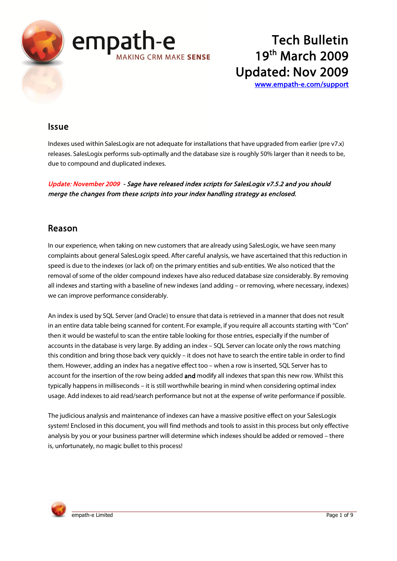

www.empath-e.com/support

# **Issue**

Indexes used within SalesLogix are not adequate for installations that have upgraded from earlier (pre v7.x) releases. SalesLogix performs sub-optimally and the database size is roughly 50% larger than it needs to be, due to compound and duplicated indexes.

Update: November 2009 - Sage have released index scripts for SalesLogix v7.5.2 and you should merge the changes from these scripts into your index handling strategy as enclosed.

# Reason

In our experience, when taking on new customers that are already using SalesLogix, we have seen many complaints about general SalesLogix speed. After careful analysis, we have ascertained that this reduction in speed is due to the indexes (or lack of) on the primary entities and sub-entities. We also noticed that the removal of some of the older compound indexes have also reduced database size considerably. By removing all indexes and starting with a baseline of new indexes (and adding - or removing, where necessary, indexes) we can improve performance considerably.

An index is used by SQL Server (and Oracle) to ensure that data is retrieved in a manner that does not result in an entire data table being scanned for content. For example, if you require all accounts starting with "Con" then it would be wasteful to scan the entire table looking for those entries, especially if the number of accounts in the database is very large. By adding an index - SQL Server can locate only the rows matching this condition and bring those back very quickly - it does not have to search the entire table in order to find them. However, adding an index has a negative effect too - when a row is inserted, SQL Server has to account for the insertion of the row being added and modify all indexes that span this new row. Whilst this typically happens in milliseconds - it is still worthwhile bearing in mind when considering optimal index usage. Add indexes to aid read/search performance but not at the expense of write performance if possible.

The judicious analysis and maintenance of indexes can have a massive positive effect on your SalesLogix system! Enclosed in this document, you will find methods and tools to assist in this process but only effective analysis by you or your business partner will determine which indexes should be added or removed - there is, unfortunately, no magic bullet to this process!

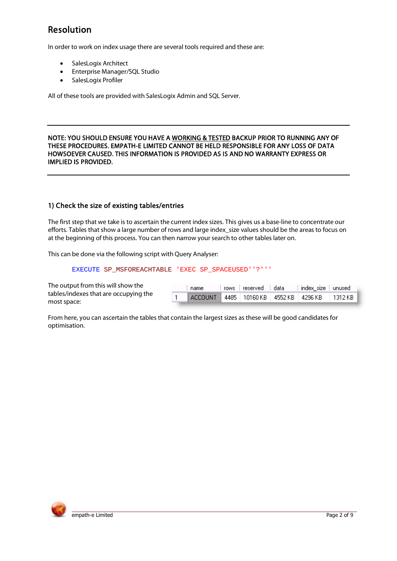# **Resolution**

In order to work on index usage there are several tools required and these are:

- SalesLogix Architect  $\bullet$
- Enterprise Manager/SQL Studio
- SalesLogix Profiler  $\bullet$

All of these tools are provided with SalesLogix Admin and SQL Server.

#### NOTE: YOU SHOULD ENSURE YOU HAVE A WORKING & TESTED BACKUP PRIOR TO RUNNING ANY OF THESE PROCEDURES. EMPATH-E LIMITED CANNOT BE HELD RESPONSIBLE FOR ANY LOSS OF DATA HOWSOEVER CAUSED. THIS INFORMATION IS PROVIDED AS IS AND NO WARRANTY EXPRESS OR **IMPLIED IS PROVIDED.**

### 1) Check the size of existing tables/entries

The first step that we take is to ascertain the current index sizes. This gives us a base-line to concentrate our efforts. Tables that show a large number of rows and large index size values should be the areas to focus on at the beginning of this process. You can then narrow your search to other tables later on.

This can be done via the following script with Query Analyser:

EXECUTE SP\_MSFOREACHTABLE 'EXEC SP\_SPACEUSED''?'''

The output from this will show the tables/indexes that are occupying the most space:

| name                                                  | rows I reserved I data | ∣index size ∣unused l |  |
|-------------------------------------------------------|------------------------|-----------------------|--|
| ACCOUNT 4485   10160 KB   4552 KB   4296 KB   1312 KB |                        |                       |  |

From here, you can ascertain the tables that contain the largest sizes as these will be good candidates for optimisation.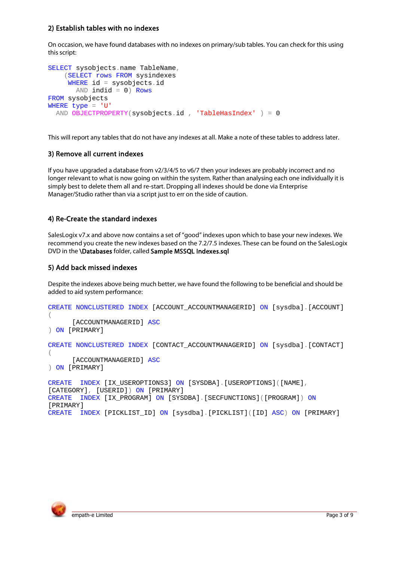## 2) Establish tables with no indexes

On occasion, we have found databases with no indexes on primary/sub tables. You can check for this using this script:

```
SELECT sysobjects.name TableName,
    (SELECT rows FROM sysindexes
    WHERE id = sysobjects.idAND indid = 0) Rows
FROM sysobjects
WHERE type = 'U'AND OBJECTPROPERTY(sysobjects.id, 'TableHasIndex' ) = 0
```
This will report any tables that do not have any indexes at all. Make a note of these tables to address later.

### 3) Remove all current indexes

If you have upgraded a database from  $v2/3/4/5$  to  $v6/7$  then your indexes are probably incorrect and no longer relevant to what is now going on within the system. Rather than analysing each one individually it is simply best to delete them all and re-start. Dropping all indexes should be done via Enterprise Manager/Studio rather than via a script just to err on the side of caution.

### 4) Re-Create the standard indexes

SalesLogix v7.x and above now contains a set of "good" indexes upon which to base your new indexes. We recommend you create the new indexes based on the 7.2/7.5 indexes. These can be found on the SalesLogix DVD in the \Databases folder, called Sample MSSQL Indexes.sql

### 5) Add back missed indexes

Despite the indexes above being much better, we have found the following to be beneficial and should be added to aid system performance:

```
CREATE NONCLUSTERED INDEX [ACCOUNT ACCOUNTMANAGERID] ON [sysdba]. [ACCOUNT]
\left([ACCOUNTMANAGERID] ASC
) ON [PRIMARY]
CREATE NONCLUSTERED INDEX [CONTACT_ACCOUNTMANAGERID] ON [sysdba] [CONTACT]
\left([ACCOUNTMANAGERID] ASC
) ON [PRIMARY]
CREATE INDEX [IX_USEROPTIONS3] ON [SYSDBA]. [USEROPTIONS] ([NAME],
[CATEGORY], [USERID]) ON [PRIMARY]
CREATE INDEX [IX PROGRAM] ON [SYSDBA] [SECFUNCTIONS] ([PROGRAM]) ON
[PRIMARY]
CREATE INDEX [PICKLIST ID] ON [sysdba]. [PICKLIST] ([ID] ASC) ON [PRIMARY]
```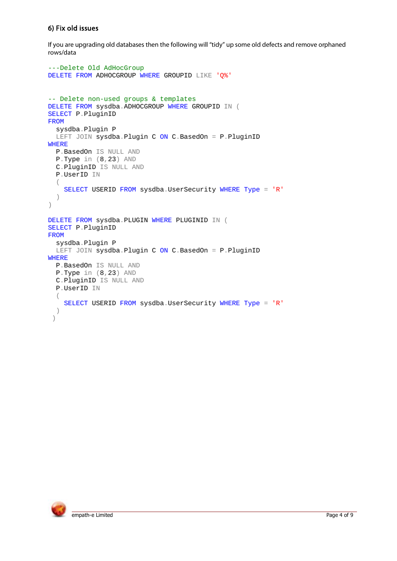# 6) Fix old issues

If you are upgrading old databases then the following will "tidy" up some old defects and remove orphaned rows/data

```
---Delete Old AdHocGroup
DELETE FROM ADHOCGROUP WHERE GROUPID LIKE 'Q%'
-- Delete non-used groups & templates
DELETE FROM sysdba.ADHOCGROUP WHERE GROUPID IN (
SELECT P.PluginID
FROM
   sysdba.Plugin P
 LEFT JOIN sysdba.Plugin C ON C.BasedOn = P.PluginID
WHERE
  P.BasedOn IS NULL AND
  P.Type in (8,23) AND
  C.PluginID IS NULL AND
  P.UserID IN
  (
    SELECT USERID FROM sysdba.UserSecurity WHERE Type = 'R'
  )
)
DELETE FROM sysdba.PLUGIN WHERE PLUGINID IN (
SELECT P.PluginID
FROM
   sysdba.Plugin P
 LEFT JOIN sysdba.Plugin C ON C.BasedOn = P.PluginID
WHERE
  P.BasedOn IS NULL AND
   P.Type in (8,23) AND
  C.PluginID IS NULL AND
  P.UserID IN
  (
    SELECT USERID FROM sysdba.UserSecurity WHERE Type = 'R'
  )
 )
```
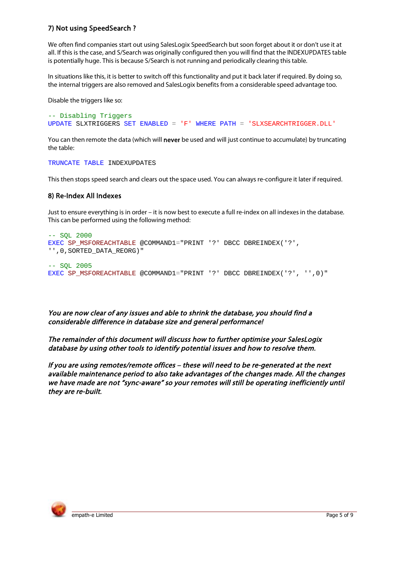## 7) Not using SpeedSearch?

We often find companies start out using SalesLogix SpeedSearch but soon forget about it or don't use it at all. If this is the case, and S/Search was originally configured then you will find that the INDEXUPDATES table is potentially huge. This is because S/Search is not running and periodically clearing this table.

In situations like this, it is better to switch off this functionality and put it back later if required. By doing so, the internal triggers are also removed and SalesLogix benefits from a considerable speed advantage too.

Disable the triggers like so:

```
-- Disabling Triggers
UPDATE SLXTRIGGERS SET ENABLED = 'F' WHERE PATH = 'SLXSEARCHTRIGGER.DLL'
```
You can then remote the data (which will never be used and will just continue to accumulate) by truncating the table:

TRUNCATE TABLE INDEXUPDATES

This then stops speed search and clears out the space used. You can always re-configure it later if required.

#### 8) Re-Index All Indexes

Just to ensure everything is in order – it is now best to execute a full re-index on all indexes in the database. This can be performed using the following method:

```
-- SQL 2000
EXEC SP_MSFOREACHTABLE @COMMAND1="PRINT '?' DBCC DBREINDEX('?',
'', 0, SORTED_DATA_REORG)"
-- SOL 2005
EXEC SP_MSFOREACHTABLE @COMMAND1="PRINT '?' DBCC DBREINDEX('?', '',0)"
```
You are now clear of any issues and able to shrink the database, you should find a considerable difference in database size and general performance!

The remainder of this document will discuss how to further optimise your SalesLogix database by using other tools to identify potential issues and how to resolve them.

If you are using remotes/remote offices - these will need to be re-generated at the next available maintenance period to also take advantages of the changes made. All the changes we have made are not "sync-aware" so your remotes will still be operating inefficiently until they are re-built.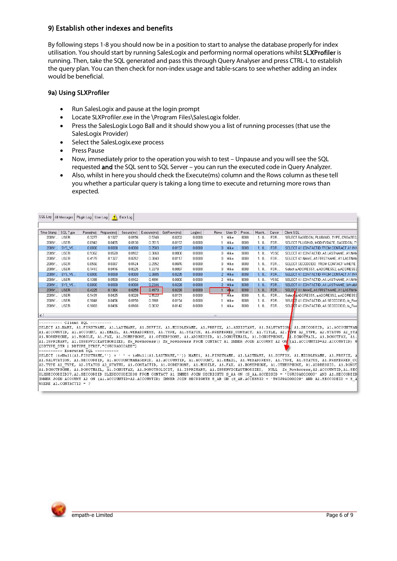## 9) Establish other indexes and benefits

By following steps 1-8 you should now be in a position to start to analyse the database properly for index utilisation. You should start by running SalesLogix and performing normal operations whilst SLXProfiler is running. Then, take the SQL generated and pass this through Query Analyser and press CTRL-L to establish the query plan. You can then check for non-index usage and table-scans to see whether adding an index would be beneficial.

### 9a) Using SLXProfiler

- Run SalesLogix and pause at the login prompt  $\bullet$
- Locate SLXProfiler.exe in the \Program Files\SalesLogix folder.  $\ddot{\phantom{a}}$
- Press the SalesLogix Logo Ball and it should show you a list of running processes (that use the  $\bullet$ SalesLogix Provider)
- Select the SalesLogix.exe process
- **Press Pause**
- Now, immediately prior to the operation you wish to test Unpause and you will see the SQL requested and the SQL sent to SQL Server - you can run the executed code in Query Analyzer.
- Also, whilst in here you should check the Execute(ms) column and the Rows column as these tell  $\bullet$ you whether a particular query is taking a long time to execute and returning more rows than expected.

| Time Stamp | SQL Type    | Parse[ms] | Prepare(ms) | Secure[ms] | Execute[ms] | GetRows(ms) | Log(ms) | <b>Rows</b> | User ID     | Proce | Machi | Cursor      | Client SOL                                  |
|------------|-------------|-----------|-------------|------------|-------------|-------------|---------|-------------|-------------|-------|-------|-------------|---------------------------------------------|
| 2009/      | <b>USER</b> | 0.3277    | 0.1027      | 0.0156     | 0.5748      | 0.0202      | 0.0000  |             | Mike        | 8088  | 1.0   | FOR         | SELECT BASEDON, PLUGINID, TYPE, CREATED.    |
| 2009/      | <b>USER</b> | 0.0943    | 0.0455      | 0.0130     | 0.3515      | 0.0157      | 0.0000  |             | Mike        | 8088  | 1.0   | FOR         | SELECT PLUGINID, MODIFYDATE, BASEDON, TY    |
| 2009/      | SYS VS      | 0.0000    | 0.0000      | 0.0000     | 0.2503      | 0.0157      | 0.0000  |             | 0 Mike      | 8088  | 1.0   | FOR         | SELECT A1.CONTACTID FROM CONTACT A1 INN     |
| 2009/      | <b>USER</b> | 0.1362    | 0.0520      | 0.0102     | 0.3660      | 0.0000      | 0.0000  |             | 0 Mike      | 8088  | 1.0   | <b>VSSC</b> | SELECT A1.CONTACTID. A1.LASTNAME. A1.NAM    |
| 2009/      | <b>USER</b> | 0.4178    | 0.1327      | 0.0252     | 0.3840      | 0.0117      | 0.0000  |             | 0 Mike      | 8088  | 1.0   | FOR         | SELECT A1.NAME, A1.FIRSTNAME, A1.LASTNAM    |
| 2009/      | <b>USER</b> | 0.0592    | 0.0387      | 0.0124     | 0.2952      | 0.0076      | 0.0000  |             | 0 Mike      | 8088  | 1.0   | FOR         | SELECT SECCODEID FROM CONTACT WHERE         |
| 2009/      | <b>USER</b> | 0.1410    | 0.0416      | 0.0025     | 1.3378      | 0.0097      | 0.0000  |             | 0 Mike      | 8088  | 1.0   | FOR         | Select a,ADDRESS1, a,ADDRESS2, a,ADDRESS3   |
| 2009/      | SYS VS      | 0.0000    | 0.0000      | 0.0000     | 0.3805      | 0.0235      | 0.0000  |             | 2 Mike      | 8088  | 1.0   | <b>FOR</b>  | SELECT A1.CONTACTID FROM CONTACT A1 INN     |
| 2009/      | <b>USER</b> | 0.1388    | 0.0500      | 0.0102     | 0.4991      | 0.0000      | 0.0000  |             | 2 Mike      | 8088  | 1, 0  | <b>VSSC</b> | SELECT A1.CONTACTID. A1.LASTNAME. A1.NAM    |
| 2009/      | SYS VS      | 0.0000    | 0.0000      | 0.0000     | 0.2344      | 0.0228      | 0.0000  |             | 2 Mike      | 8088  | 1.0   | FOR         | SELECT A1.CONTACTID. A1.LASTNAME. fisNull(A |
| 2009/      | <b>USER</b> | 0.4225    | 0.1364      | 0.0258     | 0.4973      | 0.0238      | 0.0000  |             | Mike        | 8088  | 1.0   | FOR         | SELECT A1.NAME. A1.FIRSTNAME. A1.LASTNAM    |
| 2009/      | <b>USER</b> | 0.1431    | 0.0425      | 0.0028     | U.452U      | 0.0151      | 0.0000  |             | <b>Mike</b> | 8088  | 1.0   | FOR         | Select a.ADDRESS1, a.ADDRESS2, a.ADDRESS3   |
| 2009/      | <b>USER</b> | 0.1048    | 0.0456      | 0.0150     | 0.3901      | 0.0154      | 0.0000  |             | Mike        | 8088  | 1.0   | <b>FOR</b>  | SELECT A1.CONTACTID. A1.SECCODEID. fx Rove  |
| 2009/      | <b>USER</b> | 0.1069    | 0.0496      | 0.0160     | 0.3632      | 0.0142      | 0.0000  |             | Mike        | 8088  | 1.0   | FOR         | SELECT A1.CONTACTID, A1.SECCODEID, fx Rov   |

SELECT A1. NAME, A1. FIRSTNAME, A1. LASTNAME, A1. SUFFIX, A1. HIDDLENAME, A1. PREFIX, A1. ASSISTANT, A1. SALUTATION, A1. SECCODEID, A1. ACCOUNTMAN SEARCH ALIMANE, ALIMSINARE, ALIMSINARE, ALIMOTIZ, ALIMDUENARE, ALIPRETRERER (ALIMSISTANT, ALIMSAUTATION, ALIMSCOUPID, ALIACOUNTHAN<br>ALIACOUNTID, ALIACOUNT, ALIEMAIL, ALIWEBADDRESS, ALITYPE, ALISTATUS, ALIPRETRERER CONTACT,

-- Executed SOL --

ALLOWOTELOWE, ALLOWOTELY, ALLOWOTELY, ALLOWOTEOLICIT, ALLISERVICEAUTHORIZED, NULL fx ROWACCESS, AZ.ACCOUNTID, ALLSECTION ALLY ALLOWOTED, AND ALLY AND ALLY AND ALLY AND ALLY AND ALLY AND ALLY AND ALLY AND ALLY AND ALLY AND WHERE A1. CONTACTID = 3

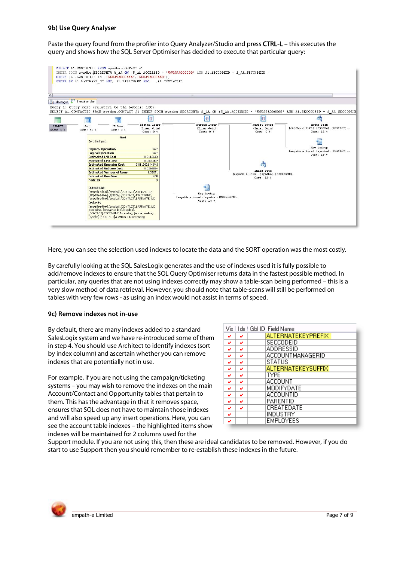#### 9b) Use Query Analyser

Paste the query found from the profiler into Query Analyzer/Studio and press CTRL-L - this executes the query and shows how the SQL Server Optimiser has decided to execute that particular query:



Here, you can see the selection used indexes to locate the data and the SORT operation was the most costly.

By carefully looking at the SQL SalesLogix generates and the use of indexes used it is fully possible to add/remove indexes to ensure that the SQL Query Optimiser returns data in the fastest possible method. In particular, any queries that are not using indexes correctly may show a table-scan being performed – this is a very slow method of data retrieval. However, you should note that table-scans will still be performed on tables with very few rows - as using an index would not assist in terms of speed.

### 9c) Remove indexes not in-use

By default, there are many indexes added to a standard SalesLogix system and we have re-introduced some of them in step 4. You should use Architect to identify indexes (sort by index column) and ascertain whether you can remove indexes that are potentially not in use.

For example, if you are not using the campaign/ticketing systems - you may wish to remove the indexes on the main Account/Contact and Opportunity tables that pertain to them. This has the advantage in that it removes space, ensures that SQL does not have to maintain those indexes and will also speed up any insert operations. Here, you can see the account table indexes - the highlighted items show indexes will be maintained for 2 columns used for the

|   |   | Vis   Idx   GbHD  Field Name |
|---|---|------------------------------|
| ✓ | ✓ | ALTERNATEKEYPREFIX           |
| ✔ | ✓ | SECCODEID                    |
| v | ✓ | ADDRESSID                    |
| v | ✓ | ACCOUNTMANAGERID             |
| ✓ | ✓ | <b>STATUS</b>                |
| v | ✓ | <b>ALTERNATEKEYSUFFIX</b>    |
| v | ✓ | <b>TYPE</b>                  |
| ✓ | ✓ | ACCOUNT                      |
| ✓ | ◡ | MODIFYDATE                   |
| ✓ | ◡ | ACCOUNTID                    |
| v | ✓ | <b>PARENTID</b>              |
| ✓ | v | CREATEDATE                   |
| ✓ |   | INDUSTRY                     |
| v |   | <b>EMPLOYEES</b>             |

Support module. If you are not using this, then these are ideal candidates to be removed. However, if you do start to use Support then you should remember to re-establish these indexes in the future.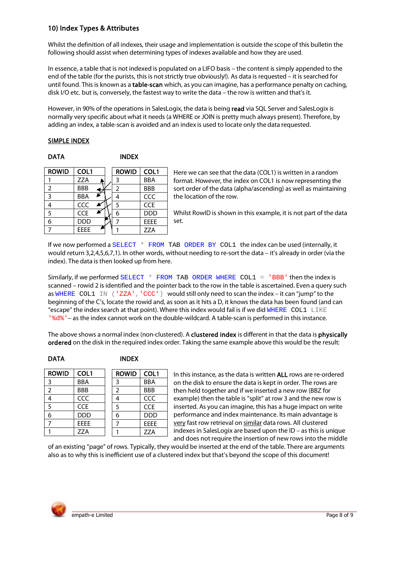# 10) Index Types & Attributes

Whilst the definition of all indexes, their usage and implementation is outside the scope of this bulletin the following should assist when determining types of indexes available and how they are used.

In essence, a table that is not indexed is populated on a LIFO basis - the content is simply appended to the end of the table (for the purists, this is not strictly true obviously!). As data is requested - it is searched for until found. This is known as a table-scan which, as you can imagine, has a performance penalty on caching, disk I/O etc. but is, conversely, the fastest way to write the data - the row is written and that's it.

However, in 90% of the operations in SalesLogix, the data is being read via SQL Server and SalesLogix is normally very specific about what it needs (a WHERE or JOIN is pretty much always present). Therefore, by adding an index, a table-scan is avoided and an index is used to locate only the data requested.

### **SIMPLE INDEX**

| ۰. |
|----|
|----|

**INDEX** 

| <b>ROWID</b> | COL1        |  | <b>ROWID</b>  | COL1       |
|--------------|-------------|--|---------------|------------|
|              | <b>ZZA</b>  |  | 3             | <b>BBA</b> |
|              | <b>BBB</b>  |  | $\mathcal{P}$ | <b>BBB</b> |
| 3            | <b>BBA</b>  |  |               | CCC        |
|              | CCC         |  | 5             | <b>CCE</b> |
| 5            | <b>CCE</b>  |  |               | <b>DDD</b> |
|              | <b>DDD</b>  |  |               | EEEE       |
|              | <b>FFFF</b> |  |               | <b>ZZA</b> |

Here we can see that the data (COL1) is written in a random format. However, the index on COL1 is now representing the sort order of the data (alpha/ascending) as well as maintaining the location of the row.

Whilst RowID is shown in this example, it is not part of the data set.

If we now performed a SELECT \* FROM TAB ORDER BY COL1 the index can be used (internally, it would return 3,2,4,5,6,7,1). In other words, without needing to re-sort the data – it's already in order (via the index). The data is then looked up from here.

Similarly, if we performed SELECT  $*$  FROM TAB ORDER WHERE COL1 =  $'BBB'$  then the index is scanned - rowid 2 is identified and the pointer back to the row in the table is ascertained. Even a query such as WHERE COL1 IN ('ZZA', 'CCC') would still only need to scan the index - it can "jump" to the beginning of the C's, locate the rowid and, as soon as it hits a D, it knows the data has been found (and can "escape" the index search at that point). Where this index would fail is if we did WHERE COL1 LIKE ' %d% ' - as the index cannot work on the double-wildcard. A table-scan is performed in this instance.

The above shows a normal index (non-clustered). A clustered index is different in that the data is physically ordered on the disk in the required index order. Taking the same example above this would be the result:

### **INDEX**

| <b>ROWID</b>   | COL1        | <b>ROWID</b>  | COL1        |
|----------------|-------------|---------------|-------------|
| 3              | <b>BBA</b>  | 3             | <b>BBA</b>  |
| $\overline{2}$ | <b>BBB</b>  | $\mathcal{P}$ | <b>BBB</b>  |
|                | CCC         |               | CCC         |
| 5              | <b>CCE</b>  | 5             | <b>CCE</b>  |
| 6              | <b>DDD</b>  |               | <b>DDD</b>  |
|                | <b>FFFF</b> |               | <b>FFFF</b> |
|                | <b>ZZA</b>  |               | <b>ZZA</b>  |

In this instance, as the data is written ALL rows are re-ordered on the disk to ensure the data is kept in order. The rows are then held together and if we inserted a new row (BBZ for example) then the table is "split" at row 3 and the new row is inserted. As you can imagine, this has a huge impact on write performance and index maintenance. Its main advantage is very fast row retrieval on similar data rows. All clustered indexes in SalesLogix are based upon the ID - as this is unique and does not require the insertion of new rows into the middle

of an existing "page" of rows. Typically, they would be inserted at the end of the table. There are arguments also as to why this is inefficient use of a clustered index but that's beyond the scope of this document!